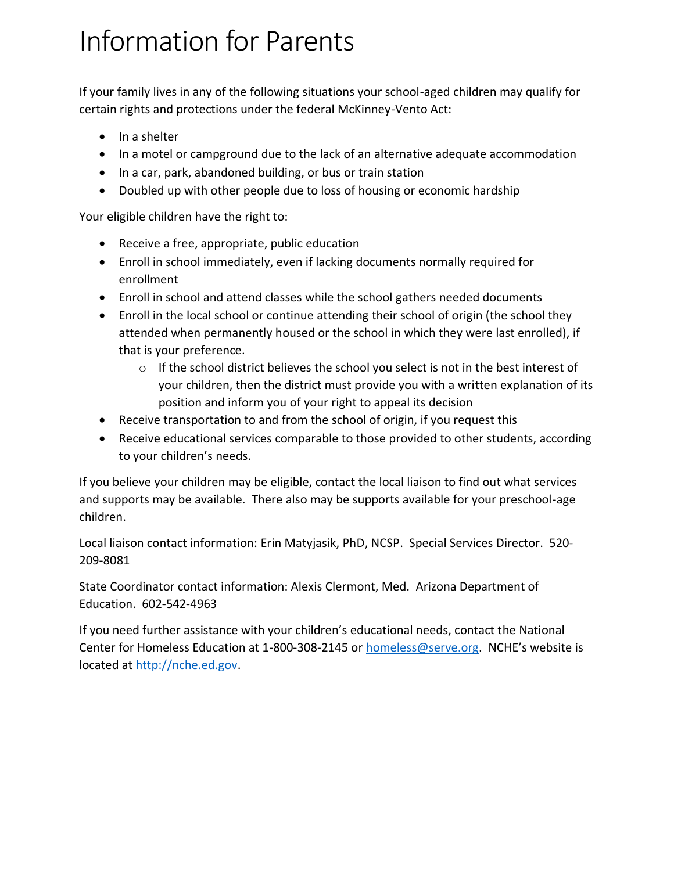## Information for Parents

If your family lives in any of the following situations your school-aged children may qualify for certain rights and protections under the federal McKinney-Vento Act:

- In a shelter
- In a motel or campground due to the lack of an alternative adequate accommodation
- In a car, park, abandoned building, or bus or train station
- Doubled up with other people due to loss of housing or economic hardship

Your eligible children have the right to:

- Receive a free, appropriate, public education
- Enroll in school immediately, even if lacking documents normally required for enrollment
- Enroll in school and attend classes while the school gathers needed documents
- Enroll in the local school or continue attending their school of origin (the school they attended when permanently housed or the school in which they were last enrolled), if that is your preference.
	- $\circ$  If the school district believes the school you select is not in the best interest of your children, then the district must provide you with a written explanation of its position and inform you of your right to appeal its decision
- Receive transportation to and from the school of origin, if you request this
- Receive educational services comparable to those provided to other students, according to your children's needs.

If you believe your children may be eligible, contact the local liaison to find out what services and supports may be available. There also may be supports available for your preschool-age children.

Local liaison contact information: Erin Matyjasik, PhD, NCSP. Special Services Director. 520- 209-8081

State Coordinator contact information: Alexis Clermont, Med. Arizona Department of Education. 602-542-4963

If you need further assistance with your children's educational needs, contact the National Center for Homeless Education at 1-800-308-2145 or [homeless@serve.org](mailto:homeless@serve.org). NCHE's website is located at [http://nche.ed.gov.](http://nche.ed.gov/)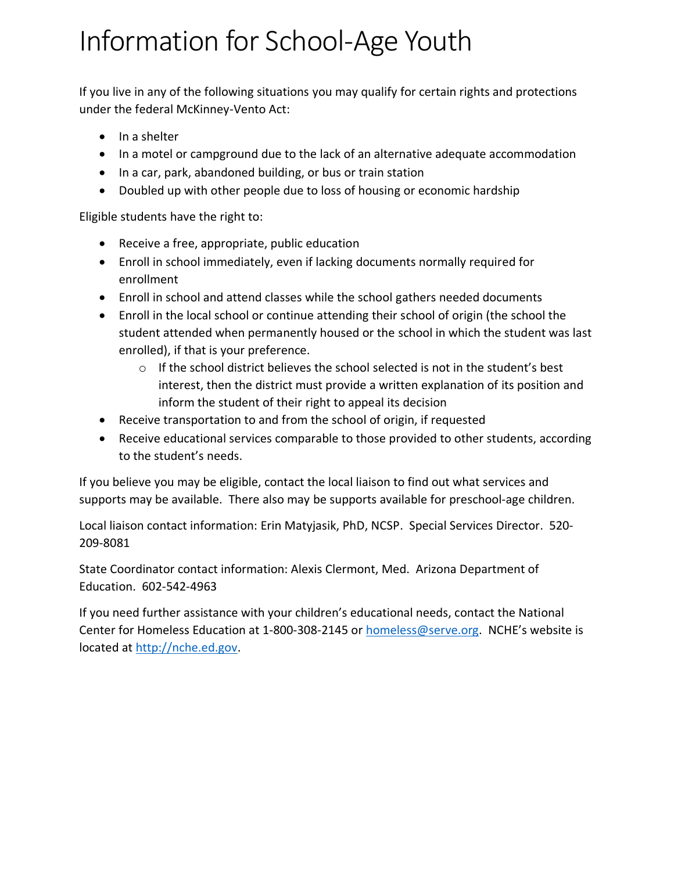## Information for School-Age Youth

If you live in any of the following situations you may qualify for certain rights and protections under the federal McKinney-Vento Act:

- In a shelter
- In a motel or campground due to the lack of an alternative adequate accommodation
- In a car, park, abandoned building, or bus or train station
- Doubled up with other people due to loss of housing or economic hardship

Eligible students have the right to:

- Receive a free, appropriate, public education
- Enroll in school immediately, even if lacking documents normally required for enrollment
- Enroll in school and attend classes while the school gathers needed documents
- Enroll in the local school or continue attending their school of origin (the school the student attended when permanently housed or the school in which the student was last enrolled), if that is your preference.
	- $\circ$  If the school district believes the school selected is not in the student's best interest, then the district must provide a written explanation of its position and inform the student of their right to appeal its decision
- Receive transportation to and from the school of origin, if requested
- Receive educational services comparable to those provided to other students, according to the student's needs.

If you believe you may be eligible, contact the local liaison to find out what services and supports may be available. There also may be supports available for preschool-age children.

Local liaison contact information: Erin Matyjasik, PhD, NCSP. Special Services Director. 520- 209-8081

State Coordinator contact information: Alexis Clermont, Med. Arizona Department of Education. 602-542-4963

If you need further assistance with your children's educational needs, contact the National Center for Homeless Education at 1-800-308-2145 or [homeless@serve.org](mailto:homeless@serve.org). NCHE's website is located at [http://nche.ed.gov.](http://nche.ed.gov/)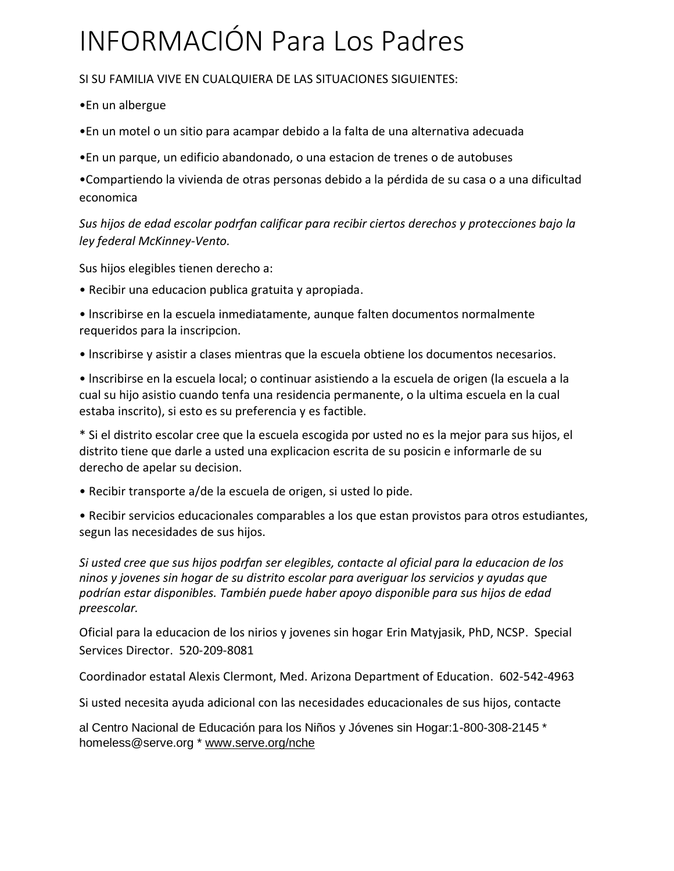## INFORMACIÓN Para Los Padres

SI SU FAMILIA VIVE EN CUALQUIERA DE LAS SITUACIONES SIGUIENTES:

•En un albergue

•En un motel o un sitio para acampar debido a la falta de una alternativa adecuada

•En un parque, un edificio abandonado, o una estacion de trenes o de autobuses

•Compartiendo la vivienda de otras personas debido a la pérdida de su casa o a una dificultad economica

*Sus hijos de edad escolar podrfan calificar para recibir ciertos derechos y protecciones bajo la ley federal McKinney-Vento.*

Sus hijos elegibles tienen derecho a:

• Recibir una educacion publica gratuita y apropiada.

• lnscribirse en la escuela inmediatamente, aunque falten documentos normalmente requeridos para la inscripcion.

• lnscribirse y asistir a clases mientras que la escuela obtiene los documentos necesarios.

• lnscribirse en la escuela local; o continuar asistiendo a la escuela de origen (la escuela a la cual su hijo asistio cuando tenfa una residencia permanente, o la ultima escuela en la cual estaba inscrito), si esto es su preferencia y es factible.

\* Si el distrito escolar cree que la escuela escogida por usted no es la mejor para sus hijos, el distrito tiene que darle a usted una explicacion escrita de su posicin e informarle de su derecho de apelar su decision.

• Recibir transporte a/de la escuela de origen, si usted lo pide.

• Recibir servicios educacionales comparables a los que estan provistos para otros estudiantes, segun las necesidades de sus hijos.

*Si usted cree que sus hijos podrfan ser elegibles, contacte al oficial para la educacion de los ninos y jovenes sin hogar de su distrito escolar para averiguar los servicios y ayudas que podrían estar disponibles. También puede haber apoyo disponible para sus hijos de edad preescolar.*

Oficial para la educacion de los nirios y jovenes sin hogar Erin Matyjasik, PhD, NCSP. Special Services Director. 520-209-8081

Coordinador estatal Alexis Clermont, Med. Arizona Department of Education. 602-542-4963

Si usted necesita ayuda adicional con las necesidades educacionales de sus hijos, contacte

al Centro Nacional de Educación para los Niños y Jóvenes sin Hogar:1-800-308-2145 \* homeless@serve.org \* [www.serve.org/nche](http://www.serve.org/nche)